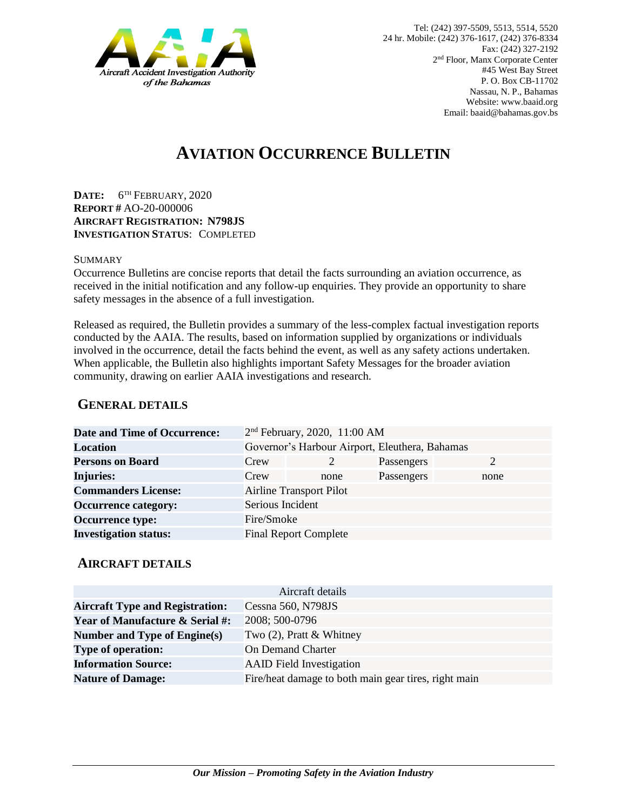

# **AVIATION OCCURRENCE BULLETIN**

**DATE:** 6 TH FEBRUARY, 2020 **REPORT #** AO-20-000006 **AIRCRAFT REGISTRATION: N798JS INVESTIGATION STATUS**: COMPLETED

#### SUMMARY

Occurrence Bulletins are concise reports that detail the facts surrounding an aviation occurrence, as received in the initial notification and any follow-up enquiries. They provide an opportunity to share safety messages in the absence of a full investigation*.*

Released as required, the Bulletin provides a summary of the less-complex factual investigation reports conducted by the AAIA. The results, based on information supplied by organizations or individuals involved in the occurrence, detail the facts behind the event, as well as any safety actions undertaken. When applicable, the Bulletin also highlights important Safety Messages for the broader aviation community, drawing on earlier AAIA investigations and research.

### **GENERAL DETAILS**

| <b>Date and Time of Occurrence:</b> |                                                | 2 <sup>nd</sup> February, 2020, 11:00 AM |            |      |
|-------------------------------------|------------------------------------------------|------------------------------------------|------------|------|
| <b>Location</b>                     | Governor's Harbour Airport, Eleuthera, Bahamas |                                          |            |      |
| <b>Persons on Board</b>             | Crew                                           |                                          | Passengers | 2    |
| <b>Injuries:</b>                    | Crew                                           | none                                     | Passengers | none |
| <b>Commanders License:</b>          | <b>Airline Transport Pilot</b>                 |                                          |            |      |
| <b>Occurrence category:</b>         | Serious Incident                               |                                          |            |      |
| <b>Occurrence type:</b>             | Fire/Smoke                                     |                                          |            |      |
| <b>Investigation status:</b>        |                                                | <b>Final Report Complete</b>             |            |      |

#### **AIRCRAFT DETAILS**

| Aircraft details                           |                                                      |  |  |  |
|--------------------------------------------|------------------------------------------------------|--|--|--|
| <b>Aircraft Type and Registration:</b>     | Cessna 560, N798JS                                   |  |  |  |
| <b>Year of Manufacture &amp; Serial #:</b> | 2008; 500-0796                                       |  |  |  |
| Number and Type of Engine(s)               | Two $(2)$ , Pratt & Whitney                          |  |  |  |
| <b>Type of operation:</b>                  | <b>On Demand Charter</b>                             |  |  |  |
| <b>Information Source:</b>                 | <b>AAID</b> Field Investigation                      |  |  |  |
| <b>Nature of Damage:</b>                   | Fire/heat damage to both main gear tires, right main |  |  |  |